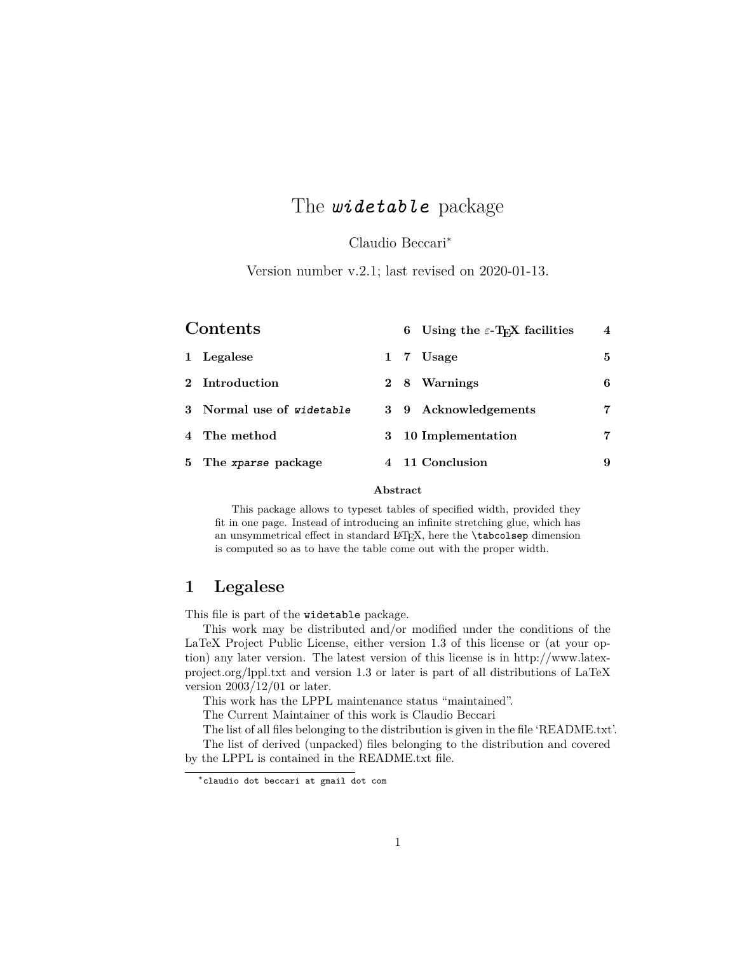# The *widetable* package

Claudio Beccari<sup>∗</sup>

Version number v.2.1; last revised on 2020-01-13.

| Contents |                           |   |     | 6 Using the $\varepsilon$ -T <sub>E</sub> X facilities | $\overline{4}$ |
|----------|---------------------------|---|-----|--------------------------------------------------------|----------------|
| 1        | Legalese                  |   |     | 1 7 Usage                                              | 5              |
|          | 2 Introduction            |   | 2 8 | Warnings                                               | 6              |
|          | 3 Normal use of widetable |   |     | 3 9 Acknowledgements                                   | 7              |
|          | 4 The method              | 3 |     | 10 Implementation                                      | 7              |
|          | 5 The xparse package      |   |     | 4 11 Conclusion                                        | 9              |

### **Abstract**

This package allows to typeset tables of specified width, provided they fit in one page. Instead of introducing an infinite stretching glue, which has an unsymmetrical effect in standard LATEX, here the **\tabcolsep** dimension is computed so as to have the table come out with the proper width.

## **1 Legalese**

This file is part of the widetable package.

This work may be distributed and/or modified under the conditions of the LaTeX Project Public License, either version 1.3 of this license or (at your option) any later version. The latest version of this license is in http://www.latexproject.org/lppl.txt and version 1.3 or later is part of all distributions of LaTeX version  $2003/12/01$  or later.

This work has the LPPL maintenance status "maintained".

The Current Maintainer of this work is Claudio Beccari

The list of all files belonging to the distribution is given in the file 'README.txt'. The list of derived (unpacked) files belonging to the distribution and covered by the LPPL is contained in the README.txt file.

<sup>∗</sup>claudio dot beccari at gmail dot com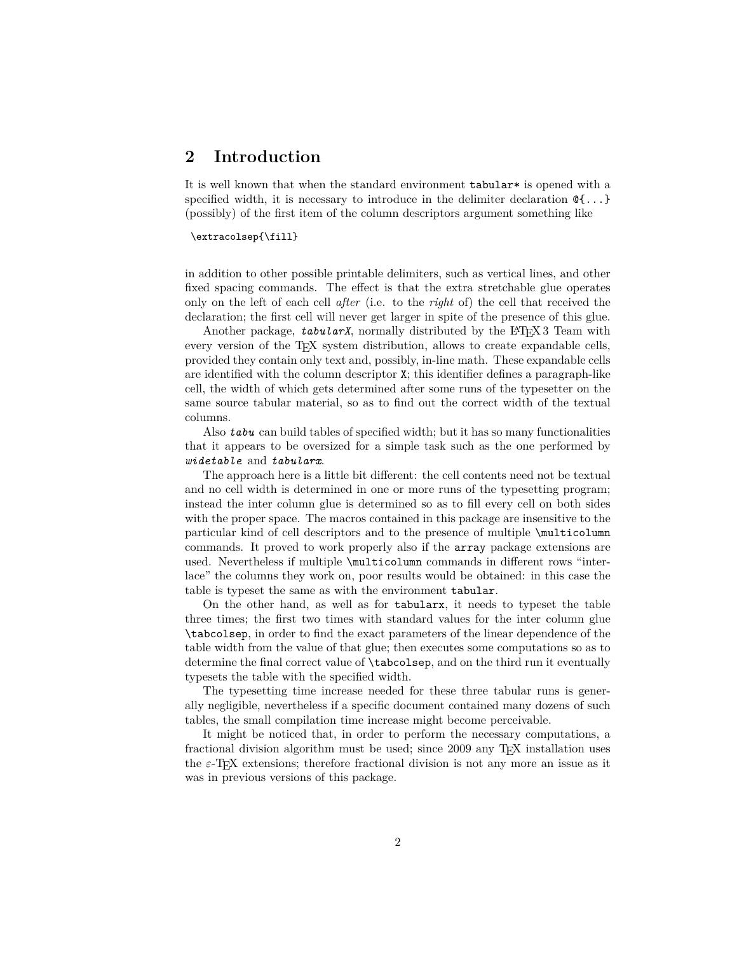### **2 Introduction**

It is well known that when the standard environment tabular\* is opened with a specified width, it is necessary to introduce in the delimiter declaration  $\mathcal{C}\{\ldots\}$ (possibly) of the first item of the column descriptors argument something like

#### \extracolsep{\fill}

in addition to other possible printable delimiters, such as vertical lines, and other fixed spacing commands. The effect is that the extra stretchable glue operates only on the left of each cell *after* (i.e. to the *right* of) the cell that received the declaration; the first cell will never get larger in spite of the presence of this glue.

Another package, *tabularX*, normally distributed by the L<sup>AT</sup>FX 3 Team with every version of the TEX system distribution, allows to create expandable cells, provided they contain only text and, possibly, in-line math. These expandable cells are identified with the column descriptor X; this identifier defines a paragraph-like cell, the width of which gets determined after some runs of the typesetter on the same source tabular material, so as to find out the correct width of the textual columns.

Also *tabu* can build tables of specified width; but it has so many functionalities that it appears to be oversized for a simple task such as the one performed by *widetable* and *tabularx*.

The approach here is a little bit different: the cell contents need not be textual and no cell width is determined in one or more runs of the typesetting program; instead the inter column glue is determined so as to fill every cell on both sides with the proper space. The macros contained in this package are insensitive to the particular kind of cell descriptors and to the presence of multiple \multicolumn commands. It proved to work properly also if the array package extensions are used. Nevertheless if multiple \multicolumn commands in different rows "interlace" the columns they work on, poor results would be obtained: in this case the table is typeset the same as with the environment tabular.

On the other hand, as well as for tabularx, it needs to typeset the table three times; the first two times with standard values for the inter column glue \tabcolsep, in order to find the exact parameters of the linear dependence of the table width from the value of that glue; then executes some computations so as to determine the final correct value of \tabcolsep, and on the third run it eventually typesets the table with the specified width.

The typesetting time increase needed for these three tabular runs is generally negligible, nevertheless if a specific document contained many dozens of such tables, the small compilation time increase might become perceivable.

It might be noticed that, in order to perform the necessary computations, a fractional division algorithm must be used; since 2009 any T<sub>E</sub>X installation uses the  $\varepsilon$ -T<sub>E</sub>X extensions; therefore fractional division is not any more an issue as it was in previous versions of this package.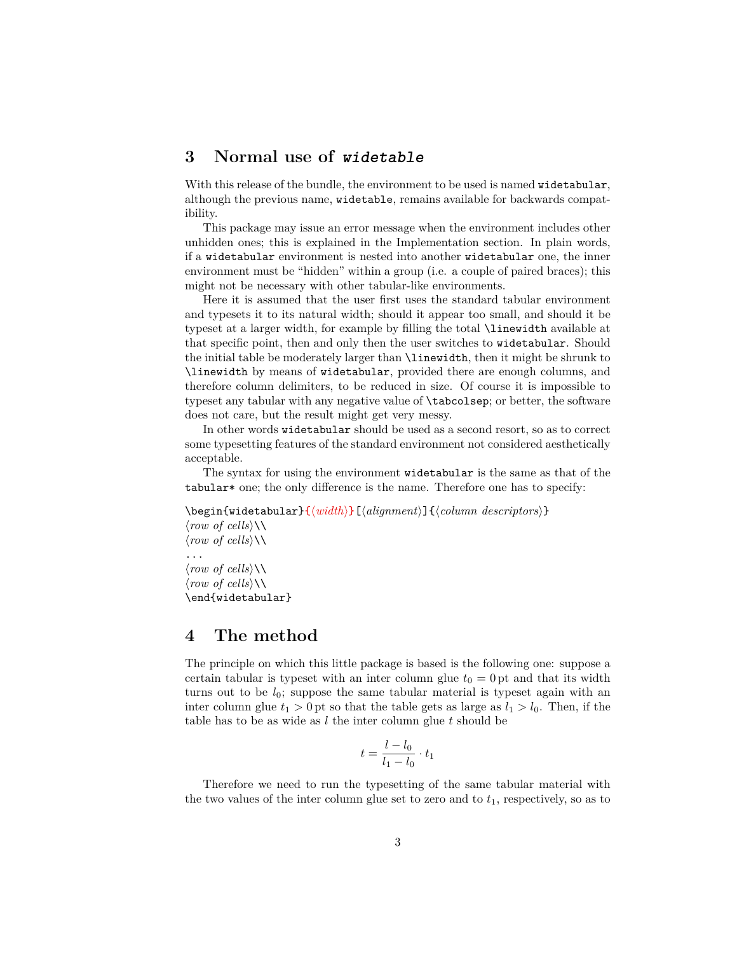## **3 Normal use of widetable**

With this release of the bundle, the environment to be used is named widetabular, although the previous name, widetable, remains available for backwards compatibility.

This package may issue an error message when the environment includes other unhidden ones; this is explained in the Implementation section. In plain words, if a widetabular environment is nested into another widetabular one, the inner environment must be "hidden" within a group (i.e. a couple of paired braces); this might not be necessary with other tabular-like environments.

Here it is assumed that the user first uses the standard tabular environment and typesets it to its natural width; should it appear too small, and should it be typeset at a larger width, for example by filling the total \linewidth available at that specific point, then and only then the user switches to widetabular. Should the initial table be moderately larger than \linewidth, then it might be shrunk to \linewidth by means of widetabular, provided there are enough columns, and therefore column delimiters, to be reduced in size. Of course it is impossible to typeset any tabular with any negative value of \tabcolsep; or better, the software does not care, but the result might get very messy.

In other words widetabular should be used as a second resort, so as to correct some typesetting features of the standard environment not considered aesthetically acceptable.

The syntax for using the environment widetabular is the same as that of the tabular\* one; the only difference is the name. Therefore one has to specify:

\begin{widetabular}{ $\langle width \rangle$ }[ $\langle alignment \rangle$ ]{ $\langle column \, \, descriptors \rangle$ }  $\langle row \ of \ cells \rangle \setminus$  $\langle row \ of \ cells \rangle \setminus \rangle$ 

...  $\langle row \ of \ cells \rangle \setminus$  $\langle row \ of \ cells \rangle \setminus \rangle$ \end{widetabular}

### **4 The method**

The principle on which this little package is based is the following one: suppose a certain tabular is typeset with an inter column glue  $t_0 = 0$  pt and that its width turns out to be  $l_0$ ; suppose the same tabular material is typeset again with an inter column glue  $t_1 > 0$  pt so that the table gets as large as  $l_1 > l_0$ . Then, if the table has to be as wide as *l* the inter column glue *t* should be

$$
t = \frac{l - l_0}{l_1 - l_0} \cdot t_1
$$

Therefore we need to run the typesetting of the same tabular material with the two values of the inter column glue set to zero and to  $t_1$ , respectively, so as to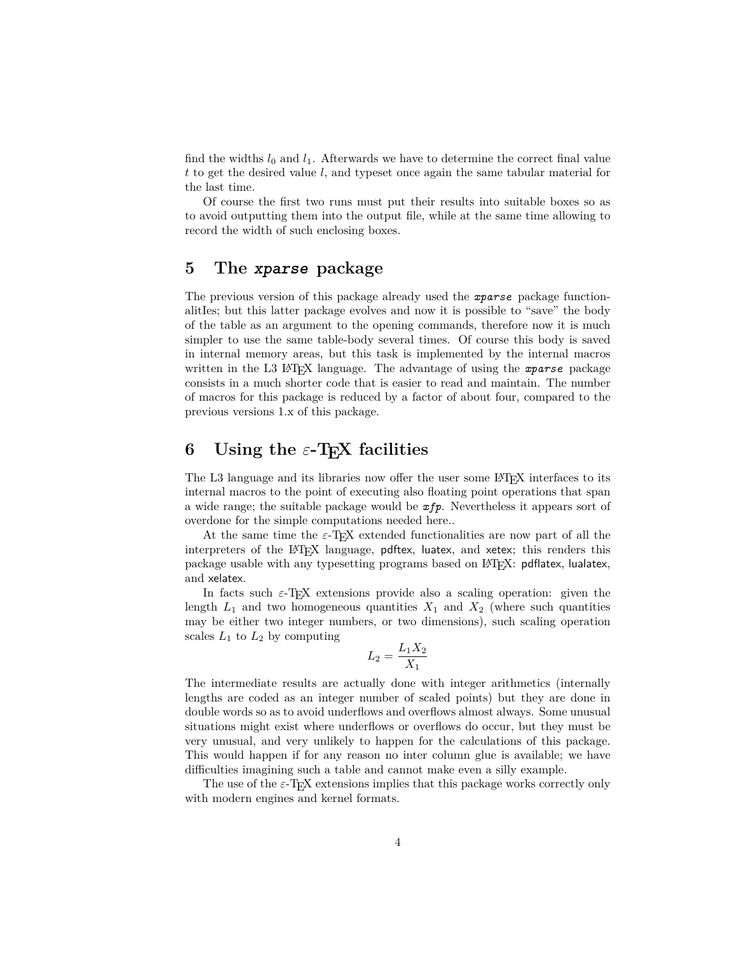find the widths  $l_0$  and  $l_1$ . Afterwards we have to determine the correct final value *t* to get the desired value *l*, and typeset once again the same tabular material for the last time.

Of course the first two runs must put their results into suitable boxes so as to avoid outputting them into the output file, while at the same time allowing to record the width of such enclosing boxes.

## **5 The xparse package**

The previous version of this package already used the *xparse* package functionalitIes; but this latter package evolves and now it is possible to "save" the body of the table as an argument to the opening commands, therefore now it is much simpler to use the same table-body several times. Of course this body is saved in internal memory areas, but this task is implemented by the internal macros written in the L3 LAT<sub>EX</sub> language. The advantage of using the *xparse* package consists in a much shorter code that is easier to read and maintain. The number of macros for this package is reduced by a factor of about four, compared to the previous versions 1.x of this package.

# **6 Using the** *ε***-TEX facilities**

The L3 language and its libraries now offer the user some L<sup>AT</sup>EX interfaces to its internal macros to the point of executing also floating point operations that span a wide range; the suitable package would be *xfp*. Nevertheless it appears sort of overdone for the simple computations needed here..

At the same time the  $\varepsilon$ -T<sub>E</sub>X extended functionalities are now part of all the interpreters of the LATEX language, pdftex, luatex, and xetex; this renders this package usable with any typesetting programs based on LATEX: pdflatex, lualatex, and xelatex.

In facts such  $\varepsilon$ -T<sub>E</sub>X extensions provide also a scaling operation: given the length  $L_1$  and two homogeneous quantities  $X_1$  and  $X_2$  (where such quantities may be either two integer numbers, or two dimensions), such scaling operation scales  $L_1$  to  $L_2$  by computing

$$
L_2=\frac{L_1X_2}{X_1}
$$

The intermediate results are actually done with integer arithmetics (internally lengths are coded as an integer number of scaled points) but they are done in double words so as to avoid underflows and overflows almost always. Some unusual situations might exist where underflows or overflows do occur, but they must be very unusual, and very unlikely to happen for the calculations of this package. This would happen if for any reason no inter column glue is available; we have difficulties imagining such a table and cannot make even a silly example.

The use of the  $\varepsilon$ -T<sub>E</sub>X extensions implies that this package works correctly only with modern engines and kernel formats.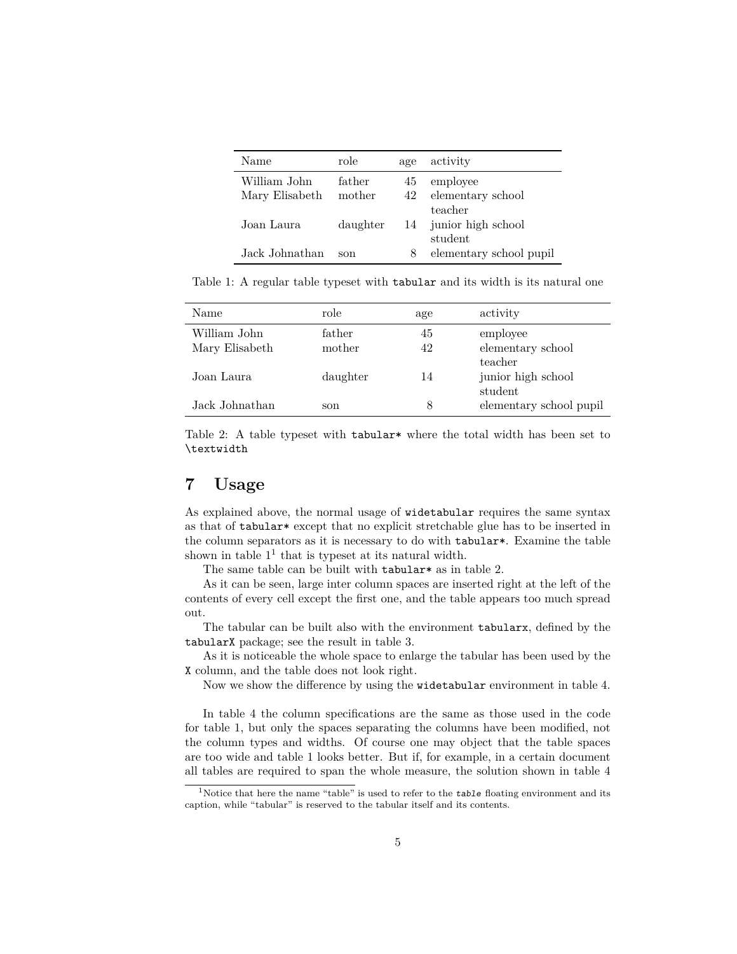| Name           | role     | age | activity                |
|----------------|----------|-----|-------------------------|
| William John   | father   | 45  | employee                |
| Mary Elisabeth | mother   | 42  | elementary school       |
|                |          |     | teacher                 |
| Joan Laura     | daughter |     | 14 junior high school   |
|                |          |     | student                 |
| Jack Johnathan | son      | 8   | elementary school pupil |

Table 1: A regular table typeset with tabular and its width is its natural one

| Name           | role     | age | activity                |
|----------------|----------|-----|-------------------------|
| William John   | father   | 45  | employee                |
| Mary Elisabeth | mother   | 42  | elementary school       |
|                |          |     | teacher                 |
| Joan Laura     | daughter | 14  | junior high school      |
|                |          |     | student                 |
| Jack Johnathan | son      | 8   | elementary school pupil |

Table 2: A table typeset with tabular<sup>\*</sup> where the total width has been set to \textwidth

# **7 Usage**

As explained above, the normal usage of widetabular requires the same syntax as that of tabular\* except that no explicit stretchable glue has to be inserted in the column separators as it is necessary to do with tabular\*. Examine the table shown in table  $1<sup>1</sup>$  that is typeset at its natural width.

The same table can be built with tabular\* as in table 2.

As it can be seen, large inter column spaces are inserted right at the left of the contents of every cell except the first one, and the table appears too much spread out.

The tabular can be built also with the environment tabularx, defined by the tabularX package; see the result in table 3.

As it is noticeable the whole space to enlarge the tabular has been used by the X column, and the table does not look right.

Now we show the difference by using the widetabular environment in table 4.

In table 4 the column specifications are the same as those used in the code for table 1, but only the spaces separating the columns have been modified, not the column types and widths. Of course one may object that the table spaces are too wide and table 1 looks better. But if, for example, in a certain document all tables are required to span the whole measure, the solution shown in table 4

<sup>&</sup>lt;sup>1</sup>Notice that here the name "table" is used to refer to the *table* floating environment and its caption, while "tabular" is reserved to the tabular itself and its contents.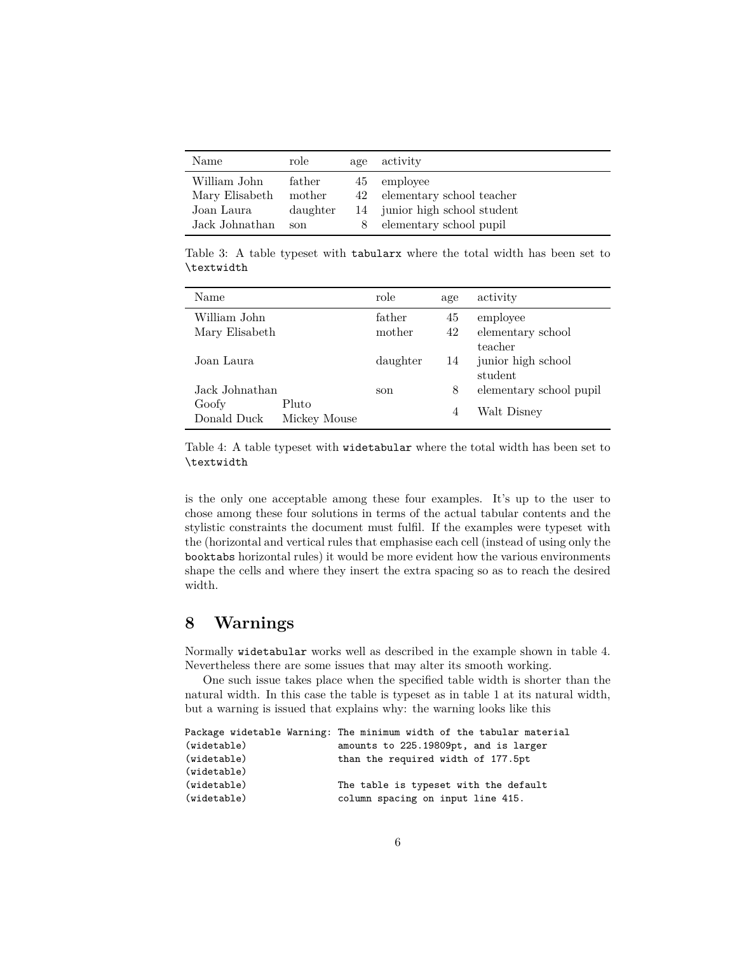| Name           | role     | age | activity                      |
|----------------|----------|-----|-------------------------------|
| William John   | father   | 45  | employee                      |
| Mary Elisabeth | mother   |     | 42 elementary school teacher  |
| Joan Laura     | daughter |     | 14 junior high school student |
| Jack Johnathan | son      | 8   | elementary school pupil       |

Table 3: A table typeset with tabularx where the total width has been set to \textwidth

| Name           |              | role     | age            | activity                |
|----------------|--------------|----------|----------------|-------------------------|
| William John   |              | father   | 45             | employee                |
| Mary Elisabeth |              | mother   | 42             | elementary school       |
|                |              |          |                | teacher                 |
| Joan Laura     |              | daughter | 14             | junior high school      |
|                |              |          |                | student                 |
| Jack Johnathan |              | son      | 8              | elementary school pupil |
| Goofy          | Pluto        |          | $\overline{4}$ | Walt Disney             |
| Donald Duck    | Mickey Mouse |          |                |                         |

Table 4: A table typeset with widetabular where the total width has been set to \textwidth

is the only one acceptable among these four examples. It's up to the user to chose among these four solutions in terms of the actual tabular contents and the stylistic constraints the document must fulfil. If the examples were typeset with the (horizontal and vertical rules that emphasise each cell (instead of using only the booktabs horizontal rules) it would be more evident how the various environments shape the cells and where they insert the extra spacing so as to reach the desired width.

# **8 Warnings**

Normally widetabular works well as described in the example shown in table 4. Nevertheless there are some issues that may alter its smooth working.

One such issue takes place when the specified table width is shorter than the natural width. In this case the table is typeset as in table 1 at its natural width, but a warning is issued that explains why: the warning looks like this

|             | Package widetable Warning: The minimum width of the tabular material |
|-------------|----------------------------------------------------------------------|
| (widetable) | amounts to 225.19809pt, and is larger                                |
| (widetable) | than the required width of 177.5pt                                   |
| (widetable) |                                                                      |
| (widetable) | The table is typeset with the default                                |
| (widetable) | column spacing on input line 415.                                    |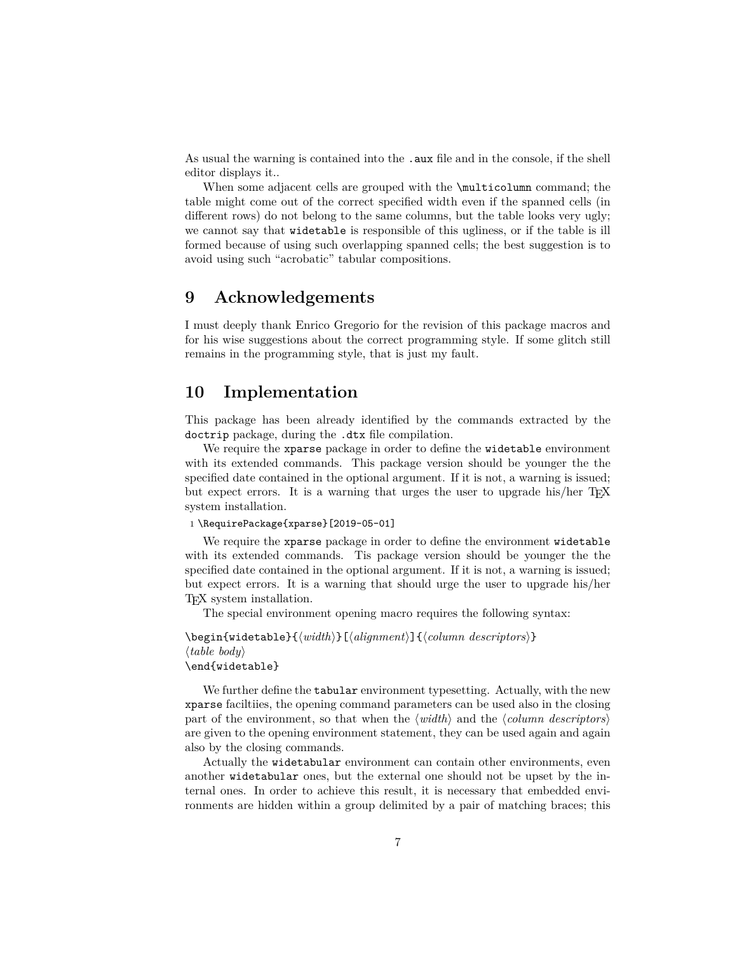As usual the warning is contained into the . aux file and in the console, if the shell editor displays it..

When some adjacent cells are grouped with the \multicolumn command; the table might come out of the correct specified width even if the spanned cells (in different rows) do not belong to the same columns, but the table looks very ugly; we cannot say that widetable is responsible of this ugliness, or if the table is ill formed because of using such overlapping spanned cells; the best suggestion is to avoid using such "acrobatic" tabular compositions.

## **9 Acknowledgements**

I must deeply thank Enrico Gregorio for the revision of this package macros and for his wise suggestions about the correct programming style. If some glitch still remains in the programming style, that is just my fault.

# **10 Implementation**

This package has been already identified by the commands extracted by the doctrip package, during the .dtx file compilation.

We require the xparse package in order to define the widetable environment with its extended commands. This package version should be younger the the specified date contained in the optional argument. If it is not, a warning is issued; but expect errors. It is a warning that urges the user to upgrade his/her T<sub>EX</sub> system installation.

#### 1 \RequirePackage{xparse}[2019-05-01]

We require the xparse package in order to define the environment widetable with its extended commands. Tis package version should be younger the the specified date contained in the optional argument. If it is not, a warning is issued; but expect errors. It is a warning that should urge the user to upgrade his/her TEX system installation.

The special environment opening macro requires the following syntax:

```
\begin{widetable}{\langle width \rangle}[\langle alignment \rangle]{\langle column \: descriptors \rangle}
\langle table \text{ } body \rangle\end{widetable}
```
We further define the tabular environment typesetting. Actually, with the new xparse faciltiies, the opening command parameters can be used also in the closing part of the environment, so that when the  $\langle width \rangle$  and the  $\langle column \$ are given to the opening environment statement, they can be used again and again also by the closing commands.

Actually the widetabular environment can contain other environments, even another widetabular ones, but the external one should not be upset by the internal ones. In order to achieve this result, it is necessary that embedded environments are hidden within a group delimited by a pair of matching braces; this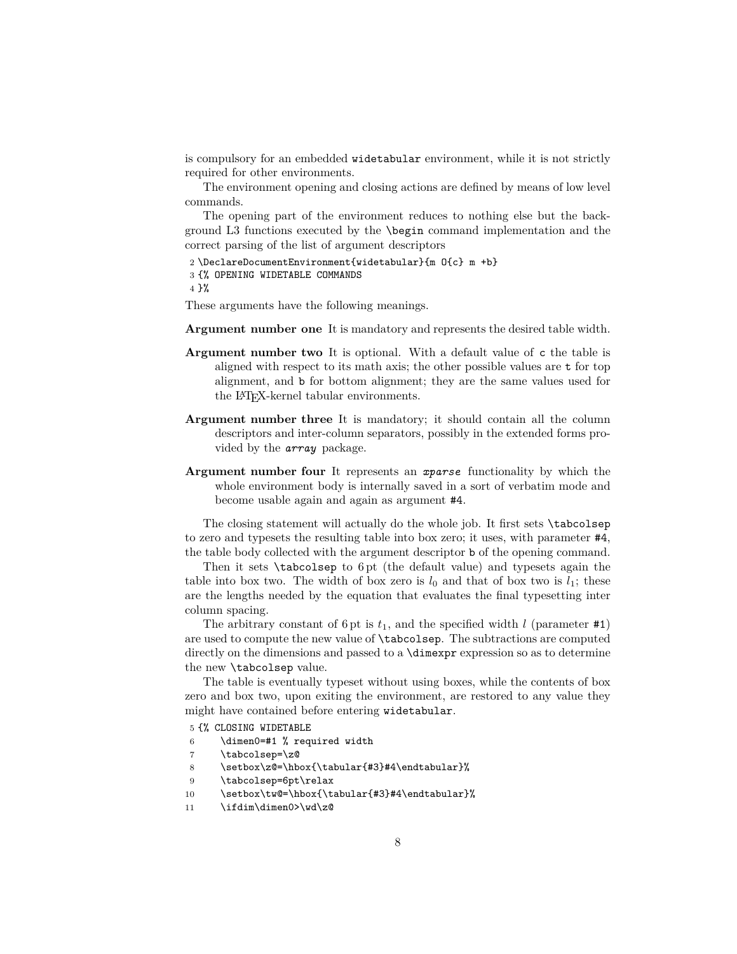is compulsory for an embedded widetabular environment, while it is not strictly required for other environments.

The environment opening and closing actions are defined by means of low level commands.

The opening part of the environment reduces to nothing else but the background L3 functions executed by the \begin command implementation and the correct parsing of the list of argument descriptors

```
2 \DeclareDocumentEnvironment{widetabular}{m O{c} m +b}
3 {% OPENING WIDETABLE COMMANDS
4 \frac{1}{6}
```
These arguments have the following meanings.

- **Argument number one** It is mandatory and represents the desired table width.
- **Argument number two** It is optional. With a default value of c the table is aligned with respect to its math axis; the other possible values are t for top alignment, and b for bottom alignment; they are the same values used for the LATEX-kernel tabular environments.
- **Argument number three** It is mandatory; it should contain all the column descriptors and inter-column separators, possibly in the extended forms provided by the *array* package.
- **Argument number four** It represents an *xparse* functionality by which the whole environment body is internally saved in a sort of verbatim mode and become usable again and again as argument #4.

The closing statement will actually do the whole job. It first sets \tabcolsep to zero and typesets the resulting table into box zero; it uses, with parameter #4, the table body collected with the argument descriptor b of the opening command.

Then it sets \tabcolsep to 6 pt (the default value) and typesets again the table into box two. The width of box zero is  $l_0$  and that of box two is  $l_1$ ; these are the lengths needed by the equation that evaluates the final typesetting inter column spacing.

The arbitrary constant of 6 pt is  $t_1$ , and the specified width *l* (parameter #1) are used to compute the new value of \tabcolsep. The subtractions are computed directly on the dimensions and passed to a  $\dim \exp r$  expression so as to determine the new \tabcolsep value.

The table is eventually typeset without using boxes, while the contents of box zero and box two, upon exiting the environment, are restored to any value they might have contained before entering widetabular.

- 5 {% CLOSING WIDETABLE
- 6 \dimen0=#1 % required width
- 7 \tabcolsep=\z@
- 8 \setbox\z@=\hbox{\tabular{#3}#4\endtabular}%
- 9 \tabcolsep=6pt\relax
- 10 \setbox\tw@=\hbox{\tabular{#3}#4\endtabular}%
- 11 \ifdim\dimen0>\wd\z@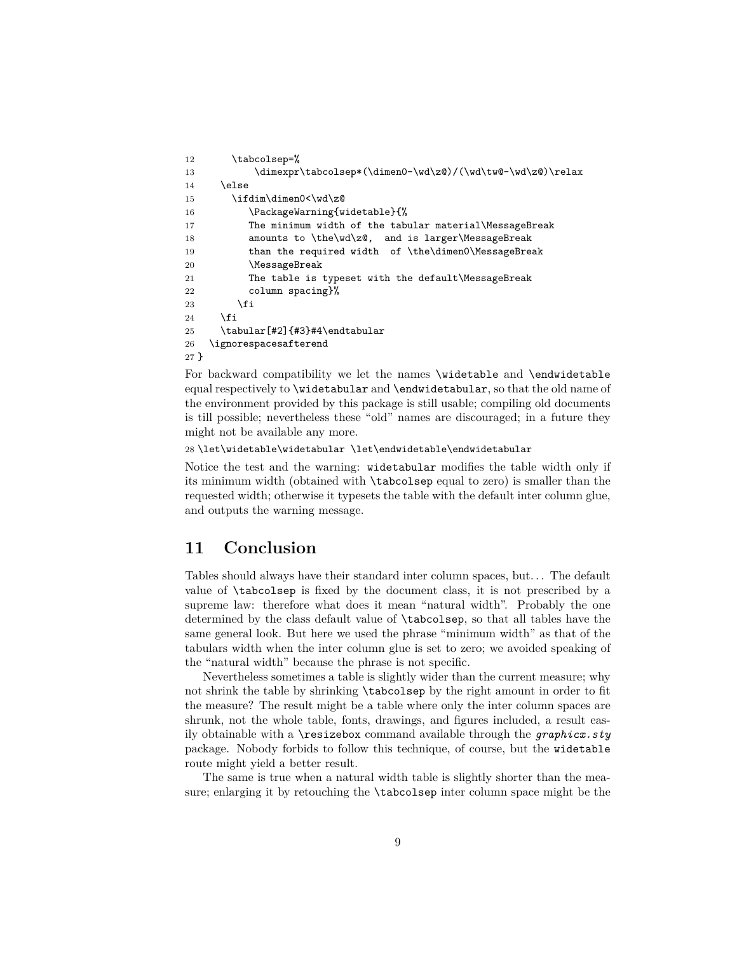```
12 \tabcolsep=%
13 \dimexpr\tabcolsep*(\dimen0-\wd\z@)/(\wd\tw@-\wd\z@)\relax
14 \else
15 \ifdim\dimen0<\wd\z@
16 \PackageWarning{widetable}{%
17 The minimum width of the tabular material\MessageBreak
18 amounts to \the\wd\z@, and is larger\MessageBreak
19 than the required width of \the\dimen0\MessageBreak
20 \MessageBreak
21 The table is typeset with the default\MessageBreak
22 column spacing}%
23 \setminusfi
24 \overrightarrow{f}25 \tabular[#2]{#3}#4\endtabular
26 \ignorespacesafterend
27 }
```
For backward compatibility we let the names \widetable and \endwidetable equal respectively to \widetabular and \endwidetabular, so that the old name of the environment provided by this package is still usable; compiling old documents is till possible; nevertheless these "old" names are discouraged; in a future they might not be available any more.

28 \let\widetable\widetabular \let\endwidetable\endwidetabular

Notice the test and the warning: widetabular modifies the table width only if its minimum width (obtained with \tabcolsep equal to zero) is smaller than the requested width; otherwise it typesets the table with the default inter column glue, and outputs the warning message.

# **11 Conclusion**

Tables should always have their standard inter column spaces, but. . . The default value of \tabcolsep is fixed by the document class, it is not prescribed by a supreme law: therefore what does it mean "natural width". Probably the one determined by the class default value of \tabcolsep, so that all tables have the same general look. But here we used the phrase "minimum width" as that of the tabulars width when the inter column glue is set to zero; we avoided speaking of the "natural width" because the phrase is not specific.

Nevertheless sometimes a table is slightly wider than the current measure; why not shrink the table by shrinking \tabcolsep by the right amount in order to fit the measure? The result might be a table where only the inter column spaces are shrunk, not the whole table, fonts, drawings, and figures included, a result easily obtainable with a \resizebox command available through the *graphicx.sty* package. Nobody forbids to follow this technique, of course, but the widetable route might yield a better result.

The same is true when a natural width table is slightly shorter than the measure; enlarging it by retouching the \tabcolsep inter column space might be the